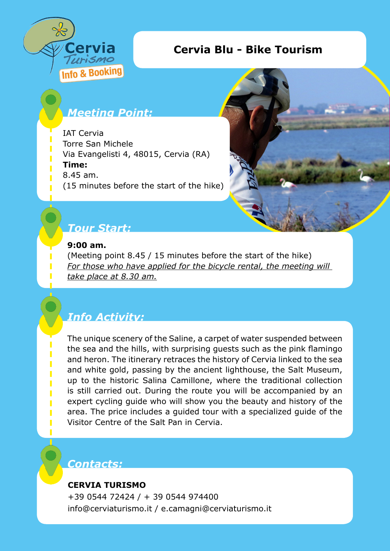

## **Cervia Blu - Bike Tourism**

# *Meeting Point:*

IAT Cervia Torre San Michele Via Evangelisti 4, 48015, Cervia (RA) **Time:**  8.45 am. (15 minutes before the start of the hike)



## *Tour Start:*

#### **9:00 am.**

(Meeting point 8.45 / 15 minutes before the start of the hike) *For those who have applied for the bicycle rental, the meeting will take place at 8.30 am.*

# *Info Activity:*

The unique scenery of the Saline, a carpet of water suspended between the sea and the hills, with surprising guests such as the pink flamingo and heron. The itinerary retraces the history of Cervia linked to the sea and white gold, passing by the ancient lighthouse, the Salt Museum, up to the historic Salina Camillone, where the traditional collection is still carried out. During the route you will be accompanied by an expert cycling guide who will show you the beauty and history of the area. The price includes a guided tour with a specialized guide of the Visitor Centre of the Salt Pan in Cervia.

### *Contacts:*

#### **CERVIA TURISMO**

+39 0544 72424 / + 39 0544 974400 info@cerviaturismo.it / e.camagni@cerviaturismo.it